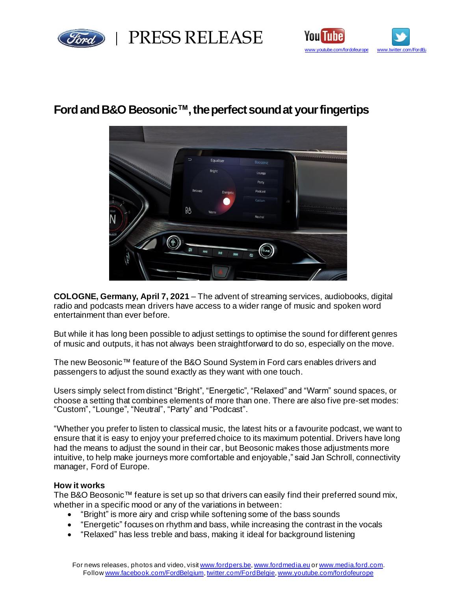



# **Ford and B&O Beosonic™, theperfect sound at your fingertips**



**COLOGNE, Germany, April 7, 2021** – The advent of streaming services, audiobooks, digital radio and podcasts mean drivers have access to a wider range of music and spoken word entertainment than ever before.

But while it has long been possible to adjust settings to optimise the sound for different genres of music and outputs, it has not always been straightforward to do so, especially on the move.

The new Beosonic™ feature of the B&O Sound System in Ford cars enables drivers and passengers to adjust the sound exactly as they want with one touch.

Users simply select from distinct "Bright", "Energetic", "Relaxed" and "Warm" sound spaces, or choose a setting that combines elements of more than one. There are also five pre-set modes: "Custom", "Lounge", "Neutral", "Party" and "Podcast".

"Whether you prefer to listen to classical music, the latest hits or a favourite podcast, we want to ensure that it is easy to enjoy your preferred choice to its maximum potential. Drivers have long had the means to adjust the sound in their car, but Beosonic makes those adjustments more intuitive, to help make journeys more comfortable and enjoyable," said Jan Schroll, connectivity manager, Ford of Europe.

## **How it works**

The B&O Beosonic™ feature is set up so that drivers can easily find their preferred sound mix, whether in a specific mood or any of the variations in between:

- "Bright" is more airy and crisp while softening some of the bass sounds
- "Energetic" focuses on rhythm and bass, while increasing the contrast in the vocals
- "Relaxed" has less treble and bass, making it ideal for background listening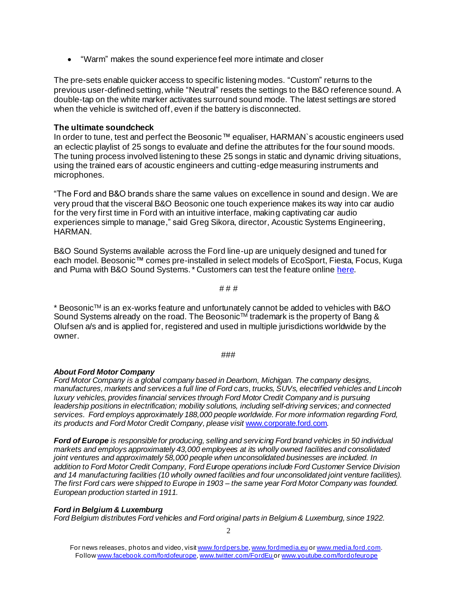• "Warm" makes the sound experience feel more intimate and closer

The pre-sets enable quicker access to specific listening modes. "Custom" returns to the previous user-defined setting, while "Neutral" resets the settings to the B&O reference sound. A double-tap on the white marker activates surround sound mode. The latest settings are stored when the vehicle is switched off, even if the battery is disconnected.

## **The ultimate soundcheck**

In order to tune, test and perfect the Beosonic™ equaliser, HARMAN`s acoustic engineers used an eclectic playlist of 25 songs to evaluate and define the attributes for the four sound moods. The tuning process involved listening to these 25 songs in static and dynamic driving situations, using the trained ears of acoustic engineers and cutting-edge measuring instruments and microphones.

"The Ford and B&O brands share the same values on excellence in sound and design. We are very proud that the visceral B&O Beosonic one touch experience makes its way into car audio for the very first time in Ford with an intuitive interface, making captivating car audio experiences simple to manage," said Greg Sikora, director, Acoustic Systems Engineering, HARMAN.

B&O Sound Systems available across the Ford line-up are uniquely designed and tuned for each model. Beosonic™ comes pre-installed in select models of EcoSport, Fiesta, Focus, Kuga and Puma with B&O Sound Systems.\* Customers can test the feature onlin[e here](https://demos.fkc-online.de/harman/beosonic/).

# # #

\* Beosonic<sup>TM</sup> is an ex-works feature and unfortunately cannot be added to vehicles with B&O Sound Systems already on the road. The Beosonic™ trademark is the property of Bang & Olufsen a/s and is applied for, registered and used in multiple jurisdictions worldwide by the owner.

#### ###

## *About Ford Motor Company*

*Ford Motor Company is a global company based in Dearborn, Michigan. The company designs, manufactures, markets and services a full line of Ford cars, trucks, SUVs, electrified vehicles and Lincoln luxury vehicles, provides financial services through Ford Motor Credit Company and is pursuing leadership positions in electrification; mobility solutions, including self-driving services; and connected services. Ford employs approximately 188,000 people worldwide. For more information regarding Ford, its products and Ford Motor Credit Company, please visit [www.corporate.ford.com](http://www.corporate.ford.com/).* 

*Ford of Europe is responsible for producing, selling and servicing Ford brand vehicles in 50 individual markets and employs approximately 43,000 employees at its wholly owned facilities and consolidated joint ventures and approximately 58,000 people when unconsolidated businesses are included. In addition to Ford Motor Credit Company, Ford Europe operations include Ford Customer Service Division and 14 manufacturing facilities (10 wholly owned facilities and four unconsolidated joint venture facilities). The first Ford cars were shipped to Europe in 1903 – the same year Ford Motor Company was founded. European production started in 1911.*

## *Ford in Belgium & Luxemburg*

*Ford Belgium distributes Ford vehicles and Ford original parts in Belgium & Luxemburg, since 1922.*

For news releases, photos and video, visi[t www.fordpers.be,](http://www.fordpers.be/) [www.fordmedia.eu](http://www.fordmedia.eu/) or [www.media.ford.com.](http://www.media.ford.com/) Follo[w www.facebook.com/fordofeurope](http://www.facebook.com/fordofeurope)[, www.twitter.com/FordEu](http://www.twitter.com/FordEu) o[r www.youtube.com/fordofeurope](http://www.youtube.com/fordofeurope)